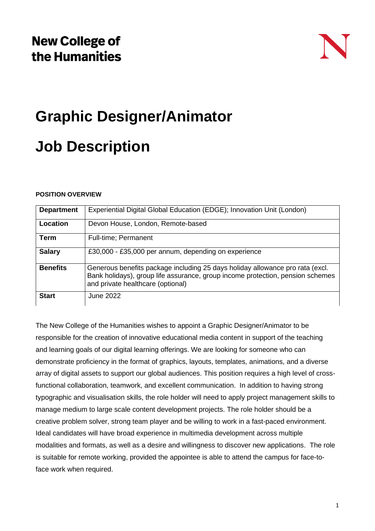# **Graphic Designer/Animator**

## **Job Description**

#### **POSITION OVERVIEW**

| <b>Department</b> | Experiential Digital Global Education (EDGE); Innovation Unit (London)                                                                                                                               |
|-------------------|------------------------------------------------------------------------------------------------------------------------------------------------------------------------------------------------------|
| Location          | Devon House, London, Remote-based                                                                                                                                                                    |
| <b>Term</b>       | <b>Full-time</b> ; Permanent                                                                                                                                                                         |
| <b>Salary</b>     | £30,000 - £35,000 per annum, depending on experience                                                                                                                                                 |
| <b>Benefits</b>   | Generous benefits package including 25 days holiday allowance pro rata (excl.<br>Bank holidays), group life assurance, group income protection, pension schemes<br>and private healthcare (optional) |
| <b>Start</b>      | June 2022                                                                                                                                                                                            |

The New College of the Humanities wishes to appoint a Graphic Designer/Animator to be responsible for the creation of innovative educational media content in support of the teaching and learning goals of our digital learning offerings. We are looking for someone who can demonstrate proficiency in the format of graphics, layouts, templates, animations, and a diverse array of digital assets to support our global audiences. This position requires a high level of crossfunctional collaboration, teamwork, and excellent communication. In addition to having strong typographic and visualisation skills, the role holder will need to apply project management skills to manage medium to large scale content development projects. The role holder should be a creative problem solver, strong team player and be willing to work in a fast-paced environment. Ideal candidates will have broad experience in multimedia development across multiple modalities and formats, as well as a desire and willingness to discover new applications. The role is suitable for remote working, provided the appointee is able to attend the campus for face-toface work when required.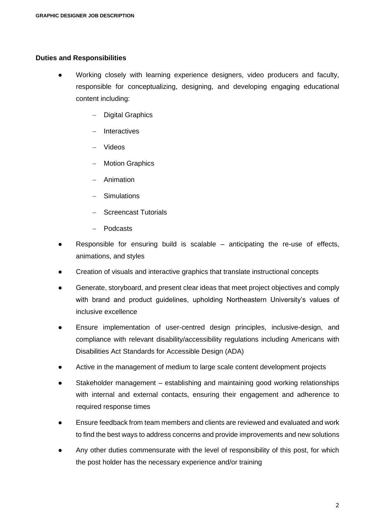#### **Duties and Responsibilities**

- Working closely with learning experience designers, video producers and faculty, responsible for conceptualizing, designing, and developing engaging educational content including:
	- − Digital Graphics
	- − Interactives
	- − Videos
	- − Motion Graphics
	- − Animation
	- − Simulations
	- − Screencast Tutorials
	- − Podcasts
- Responsible for ensuring build is scalable  $-$  anticipating the re-use of effects, animations, and styles
- Creation of visuals and interactive graphics that translate instructional concepts
- Generate, storyboard, and present clear ideas that meet project objectives and comply with brand and product guidelines, upholding Northeastern University's values of inclusive excellence
- Ensure implementation of user-centred design principles, inclusive-design, and compliance with relevant disability/accessibility regulations including Americans with Disabilities Act Standards for Accessible Design (ADA)
- Active in the management of medium to large scale content development projects
- Stakeholder management establishing and maintaining good working relationships with internal and external contacts, ensuring their engagement and adherence to required response times
- Ensure feedback from team members and clients are reviewed and evaluated and work to find the best ways to address concerns and provide improvements and new solutions
- Any other duties commensurate with the level of responsibility of this post, for which the post holder has the necessary experience and/or training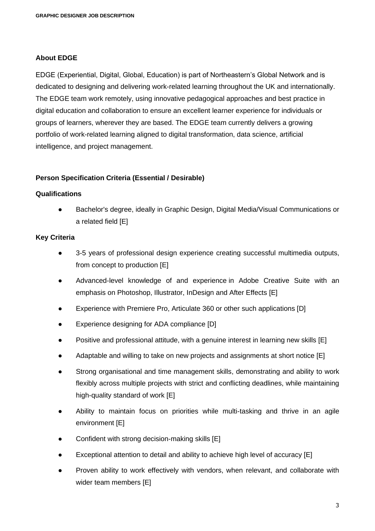#### **About EDGE**

EDGE (Experiential, Digital, Global, Education) is part of Northeastern's Global Network and is dedicated to designing and delivering work-related learning throughout the UK and internationally. The EDGE team work remotely, using innovative pedagogical approaches and best practice in digital education and collaboration to ensure an excellent learner experience for individuals or groups of learners, wherever they are based. The EDGE team currently delivers a growing portfolio of work-related learning aligned to digital transformation, data science, artificial intelligence, and project management.

#### **Person Specification Criteria (Essential / Desirable)**

#### **Qualifications**

Bachelor's degree, ideally in Graphic Design, Digital Media/Visual Communications or a related field [E]

#### **Key Criteria**

- 3-5 years of professional design experience creating successful multimedia outputs, from concept to production [E]
- Advanced-level knowledge of and experience in Adobe Creative Suite with an emphasis on Photoshop, Illustrator, InDesign and After Effects [E]
- Experience with Premiere Pro, Articulate 360 or other such applications [D]
- Experience designing for ADA compliance [D]
- Positive and professional attitude, with a genuine interest in learning new skills  $[E]$
- Adaptable and willing to take on new projects and assignments at short notice [E]
- Strong organisational and time management skills, demonstrating and ability to work flexibly across multiple projects with strict and conflicting deadlines, while maintaining high-quality standard of work [E]
- Ability to maintain focus on priorities while multi-tasking and thrive in an agile environment [E]
- Confident with strong decision-making skills [E]
- Exceptional attention to detail and ability to achieve high level of accuracy  $[E]$
- Proven ability to work effectively with vendors, when relevant, and collaborate with wider team members [E]